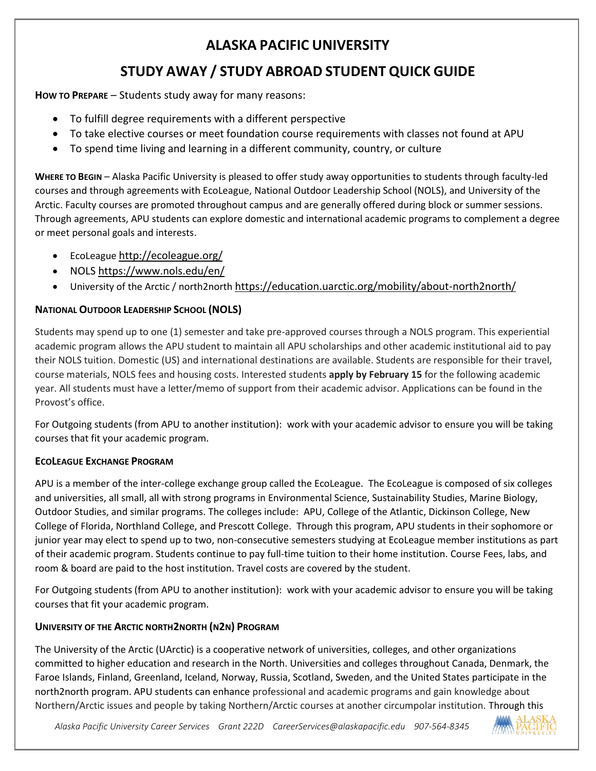# **ALASKA PACIFIC UNIVERSITY**

# **STUDY AWAY / STUDY ABROAD STUDENT QUICK GUIDE**

**How TO PREPARE** – Students study away for many reasons:

- To fulfill degree requirements with a different perspective
- To take elective courses or meet foundation course requirements with classes not found at APU
- To spend time living and learning in a different community, country, or culture

**WHERE TO BEGIN** – Alaska Pacific University is pleased to offer study away opportunities to students through faculty-led courses and through agreements with EcoLeague, National Outdoor Leadership School (NOLS), and University of the Arctic. Faculty courses are promoted throughout campus and are generally offered during block or summer sessions. Through agreements, APU students can explore domestic and international academic programs to complement a degree or meet personal goals and interests.

- EcoLeague <http://ecoleague.org/>
- NOLS<https://www.nols.edu/en/>
- University of the Arctic / north2north <https://education.uarctic.org/mobility/about-north2north/>

## **NATIONAL OUTDOOR LEADERSHIP SCHOOL (NOLS)**

Students may spend up to one (1) semester and take pre-approved courses through a NOLS program. This experiential academic program allows the APU student to maintain all APU scholarships and other academic institutional aid to pay their NOLS tuition. Domestic (US) and international destinations are available. Students are responsible for their travel, course materials, NOLS fees and housing costs. Interested students **apply by February 15** for the following academic year. All students must have a letter/memo of support from their academic advisor. Applications can be found in the Provost's office.

For Outgoing students (from APU to another institution): work with your academic advisor to ensure you will be taking courses that fit your academic program.

## **ECOLEAGUE EXCHANGE PROGRAM**

APU is a member of the inter-college exchange group called the EcoLeague. The EcoLeague is composed of six colleges and universities, all small, all with strong programs in Environmental Science, Sustainability Studies, Marine Biology, Outdoor Studies, and similar programs. The colleges include: APU, College of the Atlantic, Dickinson College, New College of Florida, Northland College, and Prescott College. Through this program, APU students in their sophomore or junior year may elect to spend up to two, non-consecutive semesters studying at EcoLeague member institutions as part of their academic program. Students continue to pay full-time tuition to their home institution. Course Fees, labs, and room & board are paid to the host institution. Travel costs are covered by the student.

For Outgoing students (from APU to another institution): work with your academic advisor to ensure you will be taking courses that fit your academic program.

## **UNIVERSITY OF THE ARCTIC NORTH2NORTH (N2N) PROGRAM**

The University of the Arctic (UArctic) is a cooperative network of universities, colleges, and other organizations committed to higher education and research in the North. Universities and colleges throughout Canada, Denmark, the Faroe Islands, Finland, Greenland, Iceland, Norway, Russia, Scotland, Sweden, and the United States participate in the north2north program. APU students can enhance professional and academic programs and gain knowledge about Northern/Arctic issues and people by taking Northern/Arctic courses at another circumpolar institution. Through this

 *Alaska Pacific University Career Services Grant 222D [CareerServices@alaskapacific.edu](mailto:CareerServices@alaskapacific.edu) 907-564-8345*